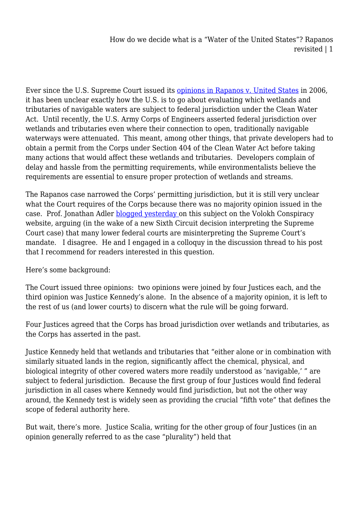How do we decide what is a "Water of the United States"? Rapanos revisited | 1

Ever since the U.S. Supreme Court issued its [opinions in Rapanos v. United States](http://www.law.cornell.edu/supct/html/04-1034.ZS.html) in 2006, it has been unclear exactly how the U.S. is to go about evaluating which wetlands and tributaries of navigable waters are subject to federal jurisdiction under the Clean Water Act. Until recently, the U.S. Army Corps of Engineers asserted federal jurisdiction over wetlands and tributaries even where their connection to open, traditionally navigable waterways were attenuated. This meant, among other things, that private developers had to obtain a permit from the Corps under Section 404 of the Clean Water Act before taking many actions that would affect these wetlands and tributaries. Developers complain of delay and hassle from the permitting requirements, while environmentalists believe the requirements are essential to ensure proper protection of wetlands and streams.

The Rapanos case narrowed the Corps' permitting jurisdiction, but it is still very unclear what the Court requires of the Corps because there was no majority opinion issued in the case. Prof. Jonathan Adler **blogged yesterday** on this subject on the Volokh Conspiracy website, arguing (in the wake of a new Sixth Circuit decision interpreting the Supreme Court case) that many lower federal courts are misinterpreting the Supreme Court's mandate. I disagree. He and I engaged in a colloquy in the discussion thread to his post that I recommend for readers interested in this question.

Here's some background:

The Court issued three opinions: two opinions were joined by four Justices each, and the third opinion was Justice Kennedy's alone. In the absence of a majority opinion, it is left to the rest of us (and lower courts) to discern what the rule will be going forward.

Four Justices agreed that the Corps has broad jurisdiction over wetlands and tributaries, as the Corps has asserted in the past.

Justice Kennedy held that wetlands and tributaries that "either alone or in combination with similarly situated lands in the region, significantly affect the chemical, physical, and biological integrity of other covered waters more readily understood as 'navigable,' " are subject to federal jurisdiction. Because the first group of four Justices would find federal jurisdiction in all cases where Kennedy would find jurisdiction, but not the other way around, the Kennedy test is widely seen as providing the crucial "fifth vote" that defines the scope of federal authority here.

But wait, there's more. Justice Scalia, writing for the other group of four Justices (in an opinion generally referred to as the case "plurality") held that